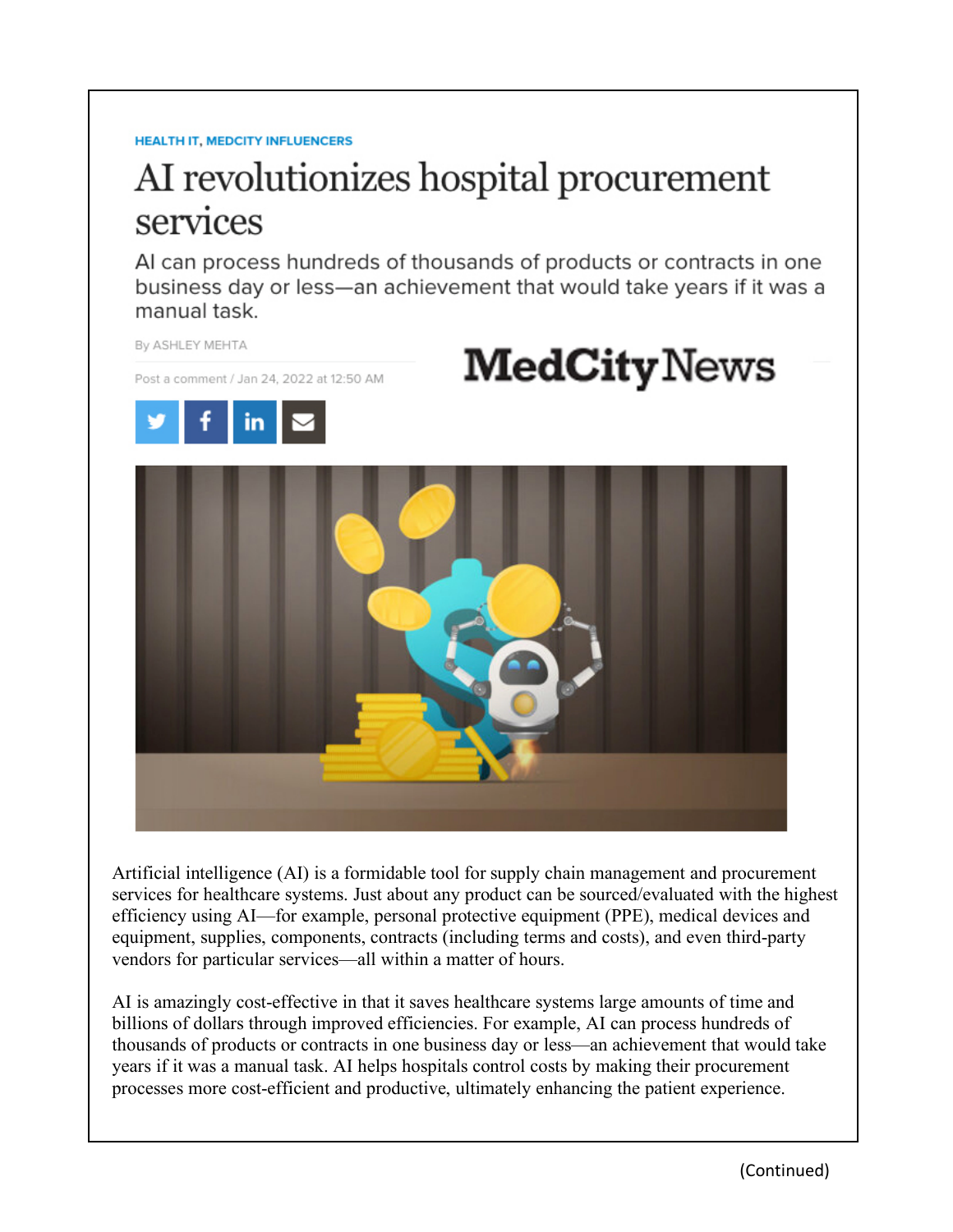#### **HEALTH IT, MEDCITY INFLUENCERS**

# AI revolutionizes hospital procurement services

Al can process hundreds of thousands of products or contracts in one business day or less—an achievement that would take years if it was a manual task.



Artificial intelligence (AI) is a formidable tool for supply chain management and procurement services for healthcare systems. Just about any product can be sourced/evaluated with the highest efficiency using AI—for example, personal protective equipment (PPE), medical devices and equipment, supplies, components, contracts (including terms and costs), and even third-party vendors for particular services—all within a matter of hours.

AI is amazingly cost-effective in that it saves healthcare systems large amounts of time and billions of dollars through improved efficiencies. For example, AI can process hundreds of thousands of products or contracts in one business day or less—an achievement that would take years if it was a manual task. AI helps hospitals control costs by making their procurement processes more cost-efficient and productive, ultimately enhancing the patient experience.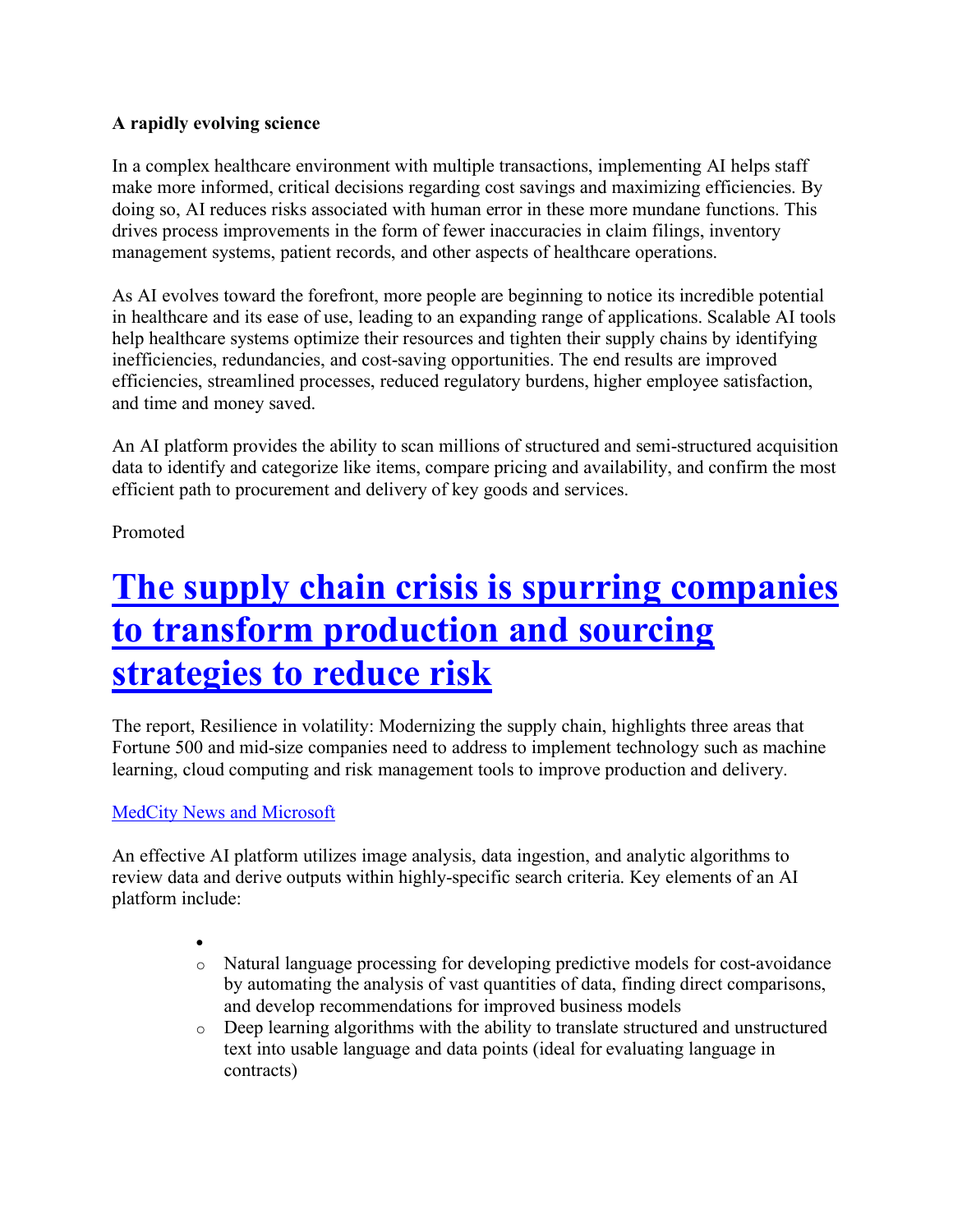#### **A rapidly evolving science**

In a complex healthcare environment with multiple transactions, implementing AI helps staff make more informed, critical decisions regarding cost savings and maximizing efficiencies. By doing so, AI reduces risks associated with human error in these more mundane functions. This drives process improvements in the form of fewer inaccuracies in claim filings, inventory management systems, patient records, and other aspects of healthcare operations.

As AI evolves toward the forefront, more people are beginning to notice its incredible potential in healthcare and its ease of use, leading to an expanding range of applications. Scalable AI tools help healthcare systems optimize their resources and tighten their supply chains by identifying inefficiencies, redundancies, and cost-saving opportunities. The end results are improved efficiencies, streamlined processes, reduced regulatory burdens, higher employee satisfaction, and time and money saved.

An AI platform provides the ability to scan millions of structured and semi-structured acquisition data to identify and categorize like items, compare pricing and availability, and confirm the most efficient path to procurement and delivery of key goods and services.

Promoted

## **The supply chain crisis is spurring companies to transform production and sourcing strategies to reduce risk**

The report, Resilience in volatility: Modernizing the supply chain, highlights three areas that Fortune 500 and mid-size companies need to address to implement technology such as machine learning, cloud computing and risk management tools to improve production and delivery.

### MedCity News and Microsoft

An effective AI platform utilizes image analysis, data ingestion, and analytic algorithms to review data and derive outputs within highly-specific search criteria. Key elements of an AI platform include:

- •
- o Natural language processing for developing predictive models for cost-avoidance by automating the analysis of vast quantities of data, finding direct comparisons, and develop recommendations for improved business models
- o Deep learning algorithms with the ability to translate structured and unstructured text into usable language and data points (ideal for evaluating language in contracts)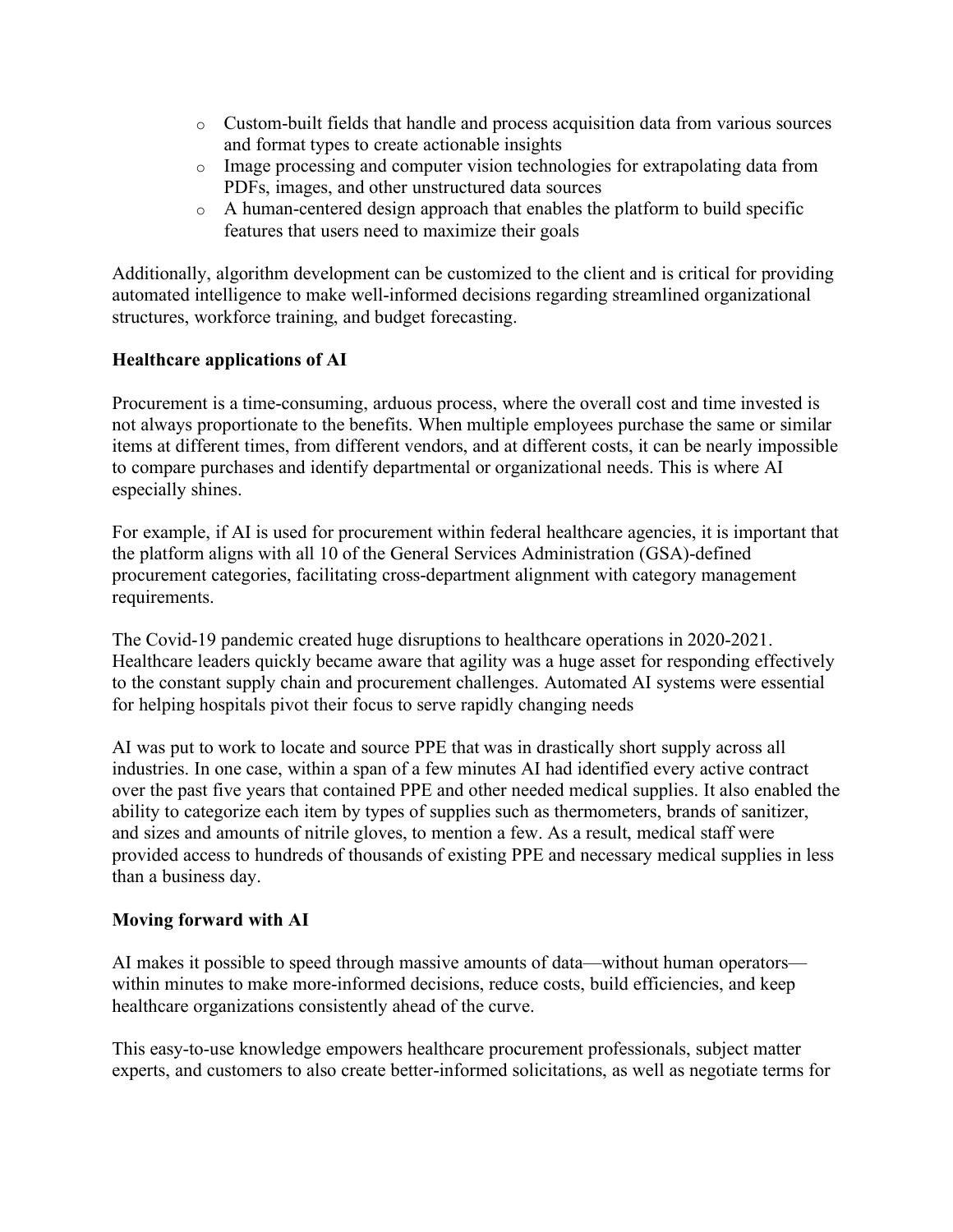- o Custom-built fields that handle and process acquisition data from various sources and format types to create actionable insights
- o Image processing and computer vision technologies for extrapolating data from PDFs, images, and other unstructured data sources
- o A human-centered design approach that enables the platform to build specific features that users need to maximize their goals

Additionally, algorithm development can be customized to the client and is critical for providing automated intelligence to make well-informed decisions regarding streamlined organizational structures, workforce training, and budget forecasting.

#### **Healthcare applications of AI**

Procurement is a time-consuming, arduous process, where the overall cost and time invested is not always proportionate to the benefits. When multiple employees purchase the same or similar items at different times, from different vendors, and at different costs, it can be nearly impossible to compare purchases and identify departmental or organizational needs. This is where AI especially shines.

For example, if AI is used for procurement within federal healthcare agencies, it is important that the platform aligns with all 10 of the General Services Administration (GSA)-defined procurement categories, facilitating cross-department alignment with category management requirements.

The Covid-19 pandemic created huge disruptions to healthcare operations in 2020-2021. Healthcare leaders quickly became aware that agility was a huge asset for responding effectively to the constant supply chain and procurement challenges. Automated AI systems were essential for helping hospitals pivot their focus to serve rapidly changing needs

AI was put to work to locate and source PPE that was in drastically short supply across all industries. In one case, within a span of a few minutes AI had identified every active contract over the past five years that contained PPE and other needed medical supplies. It also enabled the ability to categorize each item by types of supplies such as thermometers, brands of sanitizer, and sizes and amounts of nitrile gloves, to mention a few. As a result, medical staff were provided access to hundreds of thousands of existing PPE and necessary medical supplies in less than a business day.

#### **Moving forward with AI**

AI makes it possible to speed through massive amounts of data—without human operators within minutes to make more-informed decisions, reduce costs, build efficiencies, and keep healthcare organizations consistently ahead of the curve.

This easy-to-use knowledge empowers healthcare procurement professionals, subject matter experts, and customers to also create better-informed solicitations, as well as negotiate terms for